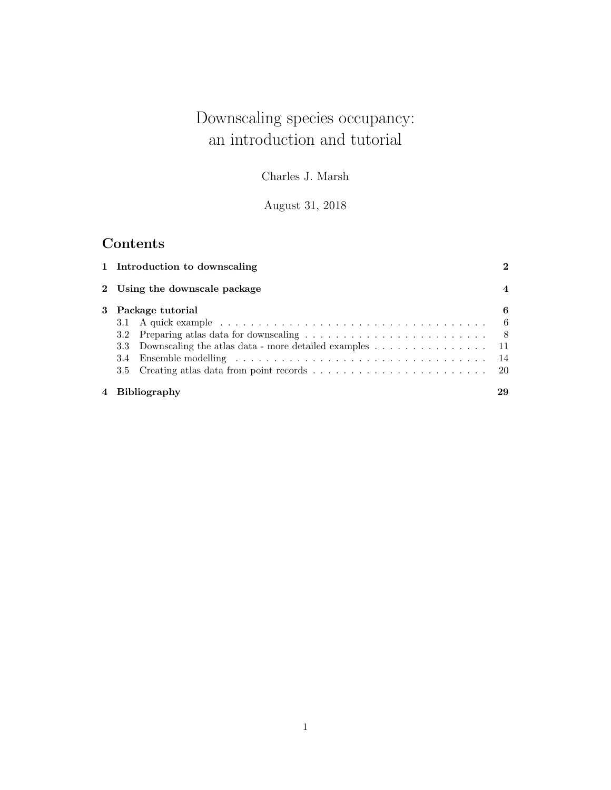# Downscaling species occupancy: an introduction and tutorial

Charles J. Marsh

August 31, 2018

# Contents

| 1 Introduction to downscaling                                                     | 2                |
|-----------------------------------------------------------------------------------|------------------|
| 2 Using the downscale package                                                     | $\boldsymbol{4}$ |
| 3 Package tutorial<br>3.3 Downscaling the atlas data - more detailed examples  11 | 6                |
| 4 Bibliography                                                                    | 29               |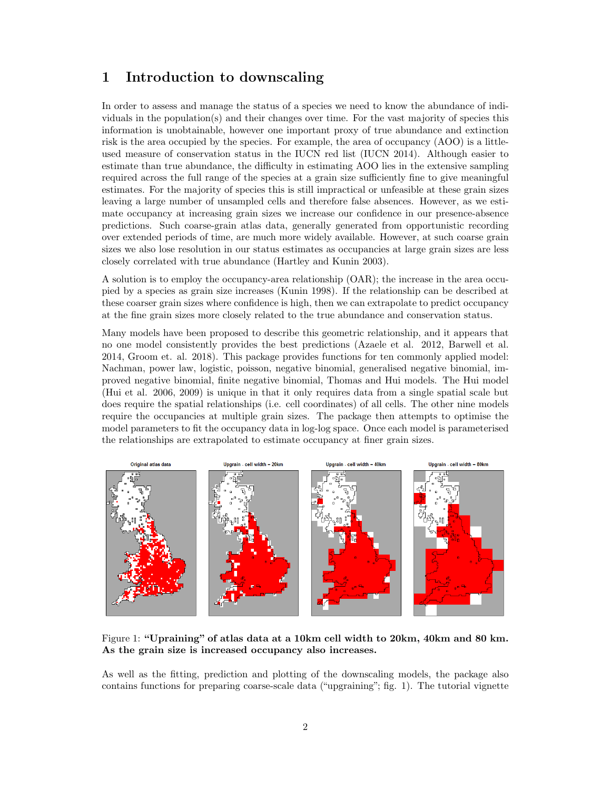### <span id="page-1-0"></span>1 Introduction to downscaling

In order to assess and manage the status of a species we need to know the abundance of individuals in the population(s) and their changes over time. For the vast majority of species this information is unobtainable, however one important proxy of true abundance and extinction risk is the area occupied by the species. For example, the area of occupancy (AOO) is a littleused measure of conservation status in the IUCN red list (IUCN 2014). Although easier to estimate than true abundance, the difficulty in estimating AOO lies in the extensive sampling required across the full range of the species at a grain size sufficiently fine to give meaningful estimates. For the majority of species this is still impractical or unfeasible at these grain sizes leaving a large number of unsampled cells and therefore false absences. However, as we estimate occupancy at increasing grain sizes we increase our confidence in our presence-absence predictions. Such coarse-grain atlas data, generally generated from opportunistic recording over extended periods of time, are much more widely available. However, at such coarse grain sizes we also lose resolution in our status estimates as occupancies at large grain sizes are less closely correlated with true abundance (Hartley and Kunin 2003).

A solution is to employ the occupancy-area relationship (OAR); the increase in the area occupied by a species as grain size increases (Kunin 1998). If the relationship can be described at these coarser grain sizes where confidence is high, then we can extrapolate to predict occupancy at the fine grain sizes more closely related to the true abundance and conservation status.

Many models have been proposed to describe this geometric relationship, and it appears that no one model consistently provides the best predictions (Azaele et al. 2012, Barwell et al. 2014, Groom et. al. 2018). This package provides functions for ten commonly applied model: Nachman, power law, logistic, poisson, negative binomial, generalised negative binomial, improved negative binomial, finite negative binomial, Thomas and Hui models. The Hui model (Hui et al. 2006, 2009) is unique in that it only requires data from a single spatial scale but does require the spatial relationships (i.e. cell coordinates) of all cells. The other nine models require the occupancies at multiple grain sizes. The package then attempts to optimise the model parameters to fit the occupancy data in log-log space. Once each model is parameterised the relationships are extrapolated to estimate occupancy at finer grain sizes.



<span id="page-1-1"></span>Figure 1: "Upraining" of atlas data at a 10km cell width to 20km, 40km and 80 km. As the grain size is increased occupancy also increases.

As well as the fitting, prediction and plotting of the downscaling models, the package also contains functions for preparing coarse-scale data ("upgraining"; fig. [1\)](#page-1-1). The tutorial vignette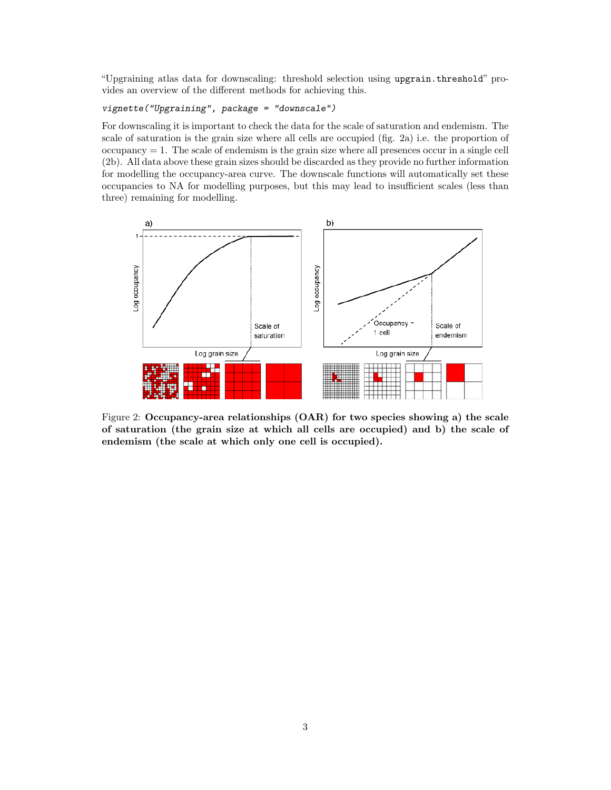"Upgraining atlas data for downscaling: threshold selection using upgrain.threshold" provides an overview of the different methods for achieving this.

#### vignette("Upgraining", package = "downscale")

For downscaling it is important to check the data for the scale of saturation and endemism. The scale of saturation is the grain size where all cells are occupied (fig. [2a](#page-2-0)) i.e. the proportion of  $occupancy = 1$ . The scale of endemism is the grain size where all presences occur in a single cell [\(2b](#page-2-0)). All data above these grain sizes should be discarded as they provide no further information for modelling the occupancy-area curve. The downscale functions will automatically set these occupancies to NA for modelling purposes, but this may lead to insufficient scales (less than three) remaining for modelling.



<span id="page-2-0"></span>Figure 2: Occupancy-area relationships (OAR) for two species showing a) the scale of saturation (the grain size at which all cells are occupied) and b) the scale of endemism (the scale at which only one cell is occupied).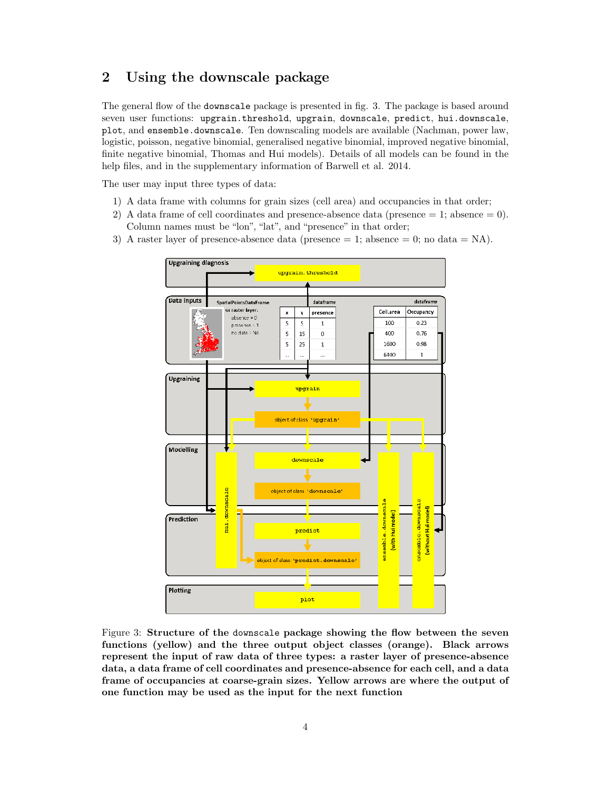# <span id="page-3-0"></span>2 Using the downscale package

The general flow of the downscale package is presented in fig. [3.](#page-3-1) The package is based around seven user functions: upgrain.threshold, upgrain, downscale, predict, hui.downscale, plot, and ensemble.downscale. Ten downscaling models are available (Nachman, power law, logistic, poisson, negative binomial, generalised negative binomial, improved negative binomial, finite negative binomial, Thomas and Hui models). Details of all models can be found in the help files, and in the supplementary information of Barwell et al. 2014.

The user may input three types of data:

- 1) A data frame with columns for grain sizes (cell area) and occupancies in that order;
- 2) A data frame of cell coordinates and presence-absence data (presence  $= 1$ ; absence  $= 0$ ). Column names must be "lon", "lat", and "presence" in that order;
- 3) A raster layer of presence-absence data (presence  $= 1$ ; absence  $= 0$ ; no data  $= NA$ ).



<span id="page-3-1"></span>Figure 3: Structure of the downscale package showing the flow between the seven functions (yellow) and the three output object classes (orange). Black arrows represent the input of raw data of three types: a raster layer of presence-absence data, a data frame of cell coordinates and presence-absence for each cell, and a data frame of occupancies at coarse-grain sizes. Yellow arrows are where the output of one function may be used as the input for the next function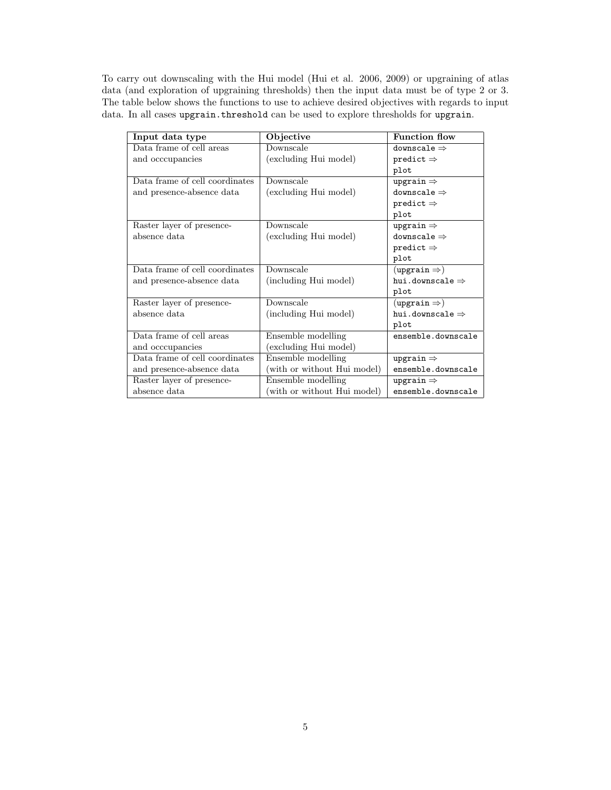To carry out downscaling with the Hui model (Hui et al. 2006, 2009) or upgraining of atlas data (and exploration of upgraining thresholds) then the input data must be of type 2 or 3. The table below shows the functions to use to achieve desired objectives with regards to input data. In all cases upgrain.threshold can be used to explore thresholds for upgrain.

| Input data type                | Objective                   | <b>Function flow</b>             |
|--------------------------------|-----------------------------|----------------------------------|
| Data frame of cell areas       | Downscale                   | downscale $\Rightarrow$          |
| and occcupancies               | (excluding Hui model)       | predict $\Rightarrow$            |
|                                |                             | plot                             |
| Data frame of cell coordinates | Downscale                   | upgrain $\Rightarrow$            |
| and presence-absence data      | (excluding Hui model)       | downscale $\Rightarrow$          |
|                                |                             | predict $\Rightarrow$            |
|                                |                             | plot                             |
| Raster layer of presence-      | Downscale                   | upgrain $\Rightarrow$            |
| absence data                   | (excluding Hui model)       | downscale $\Rightarrow$          |
|                                |                             | predict $\Rightarrow$            |
|                                |                             | plot                             |
| Data frame of cell coordinates | Downscale                   | $(\texttt{upgrain} \Rightarrow)$ |
| and presence-absence data      | (including Hui model)       | hui.downscale $\Rightarrow$      |
|                                |                             | plot                             |
| Raster layer of presence-      | Downscale                   | $(\mathtt{upgrain} \Rightarrow)$ |
| absence data                   | (including Hui model)       | hui.downscale $\Rightarrow$      |
|                                |                             | plot                             |
| Data frame of cell areas       | Ensemble modelling          | ensemble.downscale               |
| and occcupancies               | (excluding Hui model)       |                                  |
| Data frame of cell coordinates | Ensemble modelling          | upgrain $\Rightarrow$            |
| and presence-absence data      | with or without Hui model)  | ensemble.downscale               |
| Raster layer of presence-      | Ensemble modelling          | upgrain $\Rightarrow$            |
| absence data                   | (with or without Hui model) | ensemble.downscale               |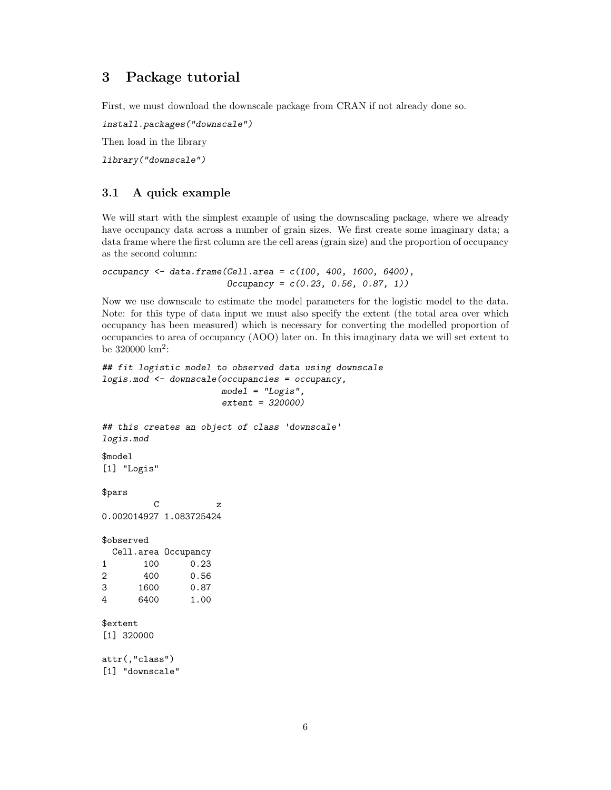# <span id="page-5-0"></span>3 Package tutorial

First, we must download the downscale package from CRAN if not already done so.

install.packages("downscale")

Then load in the library

library("downscale")

#### <span id="page-5-1"></span>3.1 A quick example

We will start with the simplest example of using the downscaling package, where we already have occupancy data across a number of grain sizes. We first create some imaginary data; a data frame where the first column are the cell areas (grain size) and the proportion of occupancy as the second column:

```
occupancy <- data.frame(Cell.area = c(100, 400, 1600, 6400),
                       Dccupancy = c(0.23, 0.56, 0.87, 1)
```
Now we use downscale to estimate the model parameters for the logistic model to the data. Note: for this type of data input we must also specify the extent (the total area over which occupancy has been measured) which is necessary for converting the modelled proportion of occupancies to area of occupancy (AOO) later on. In this imaginary data we will set extent to be  $320000 \text{ km}^2$ :

```
## fit logistic model to observed data using downscale
logis.mod <- downscale(occupancies = occupancy,
                    model = "Logis",extent = 320000)
## this creates an object of class 'downscale'
logis.mod
$model
[1] "Logis"
$pars
         C z
0.002014927 1.083725424
$observed
 Cell.area Occupancy
1 100 0.23
2 400 0.56
3 1600 0.87
4 6400 1.00
$extent
[1] 320000
attr(,"class")
[1] "downscale"
```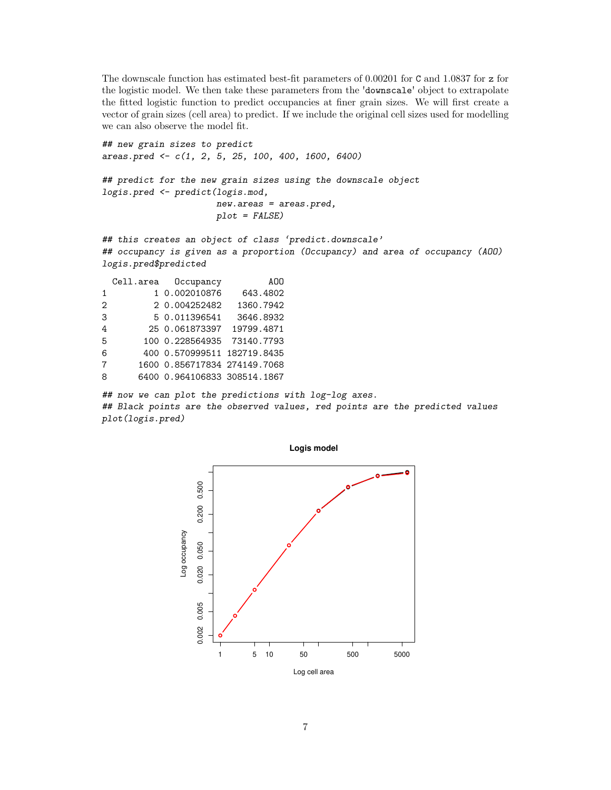The downscale function has estimated best-fit parameters of 0.00201 for C and 1.0837 for z for the logistic model. We then take these parameters from the 'downscale' object to extrapolate the fitted logistic function to predict occupancies at finer grain sizes. We will first create a vector of grain sizes (cell area) to predict. If we include the original cell sizes used for modelling we can also observe the model fit.

## new grain sizes to predict areas.pred <- c(1, 2, 5, 25, 100, 400, 1600, 6400) ## predict for the new grain sizes using the downscale object logis.pred <- predict(logis.mod, new.areas = areas.pred, plot = FALSE) ## this creates an object of class 'predict.downscale'

## occupancy is given as a proportion (Occupancy) and area of occupancy (AOO) logis.pred\$predicted

|                | Cell.area Occupancy          | A00       |
|----------------|------------------------------|-----------|
| $\mathbf{1}$   | 1 0.002010876                | 643.4802  |
| $\overline{2}$ | 2 0.004252482                | 1360.7942 |
| 3              | 5 0.011396541                | 3646.8932 |
| 4              | 25 0.061873397 19799.4871    |           |
| 5              | 100 0.228564935 73140.7793   |           |
| 6              | 400 0.570999511 182719.8435  |           |
| 7              | 1600 0.856717834 274149.7068 |           |
| 8              | 6400 0.964106833 308514.1867 |           |
|                |                              |           |

## now we can plot the predictions with log-log axes. ## Black points are the observed values, red points are the predicted values plot(logis.pred)

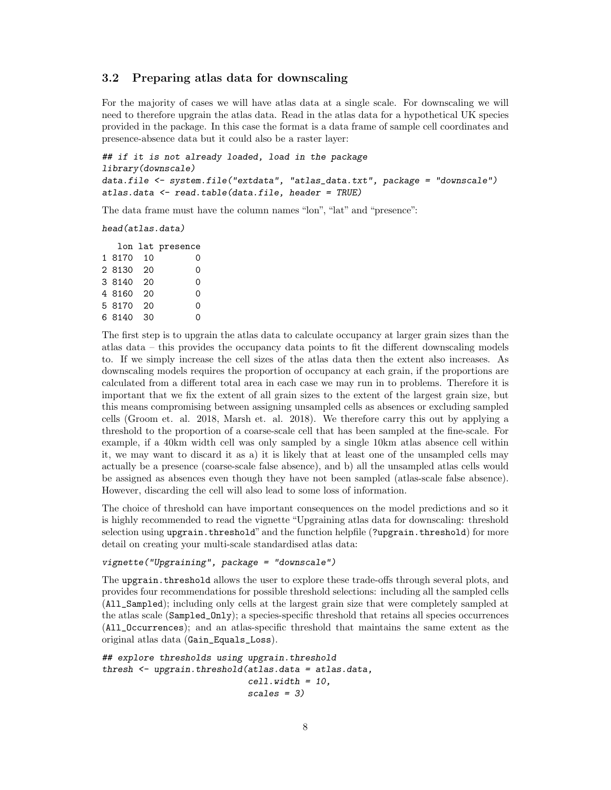#### <span id="page-7-0"></span>3.2 Preparing atlas data for downscaling

For the majority of cases we will have atlas data at a single scale. For downscaling we will need to therefore upgrain the atlas data. Read in the atlas data for a hypothetical UK species provided in the package. In this case the format is a data frame of sample cell coordinates and presence-absence data but it could also be a raster layer:

```
## if it is not already loaded, load in the package
library(downscale)
data.file <- system.file("extdata", "atlas_data.txt", package = "downscale")
atlas.data <- read.table(data.file, header = TRUE)
```
The data frame must have the column names "lon", "lat" and "presence":

head(atlas.data)

|           |      | lon lat presence |
|-----------|------|------------------|
| 1 8170    | - 10 | 0                |
| 2 8130 20 |      | 0                |
| 3 8140    | - 20 | 0                |
| 4 8160    | 20   | 0                |
| 5 8170    | 20   | 0                |
| 6 8140    | 30   | ი                |
|           |      |                  |

The first step is to upgrain the atlas data to calculate occupancy at larger grain sizes than the atlas data – this provides the occupancy data points to fit the different downscaling models to. If we simply increase the cell sizes of the atlas data then the extent also increases. As downscaling models requires the proportion of occupancy at each grain, if the proportions are calculated from a different total area in each case we may run in to problems. Therefore it is important that we fix the extent of all grain sizes to the extent of the largest grain size, but this means compromising between assigning unsampled cells as absences or excluding sampled cells (Groom et. al. 2018, Marsh et. al. 2018). We therefore carry this out by applying a threshold to the proportion of a coarse-scale cell that has been sampled at the fine-scale. For example, if a 40km width cell was only sampled by a single 10km atlas absence cell within it, we may want to discard it as a) it is likely that at least one of the unsampled cells may actually be a presence (coarse-scale false absence), and b) all the unsampled atlas cells would be assigned as absences even though they have not been sampled (atlas-scale false absence). However, discarding the cell will also lead to some loss of information.

The choice of threshold can have important consequences on the model predictions and so it is highly recommended to read the vignette "Upgraining atlas data for downscaling: threshold selection using upgrain.threshold" and the function helpfile (?upgrain.threshold) for more detail on creating your multi-scale standardised atlas data:

#### vignette("Upgraining", package = "downscale")

The upgrain.threshold allows the user to explore these trade-offs through several plots, and provides four recommendations for possible threshold selections: including all the sampled cells (All\_Sampled); including only cells at the largest grain size that were completely sampled at the atlas scale (Sampled\_Only); a species-specific threshold that retains all species occurrences (All\_Occurrences); and an atlas-specific threshold that maintains the same extent as the original atlas data (Gain\_Equals\_Loss).

```
## explore thresholds using upgrain.threshold
thresh <- upgrain.threshold(atlas.data = atlas.data,
                            cell. width = 10,scales = 3)
```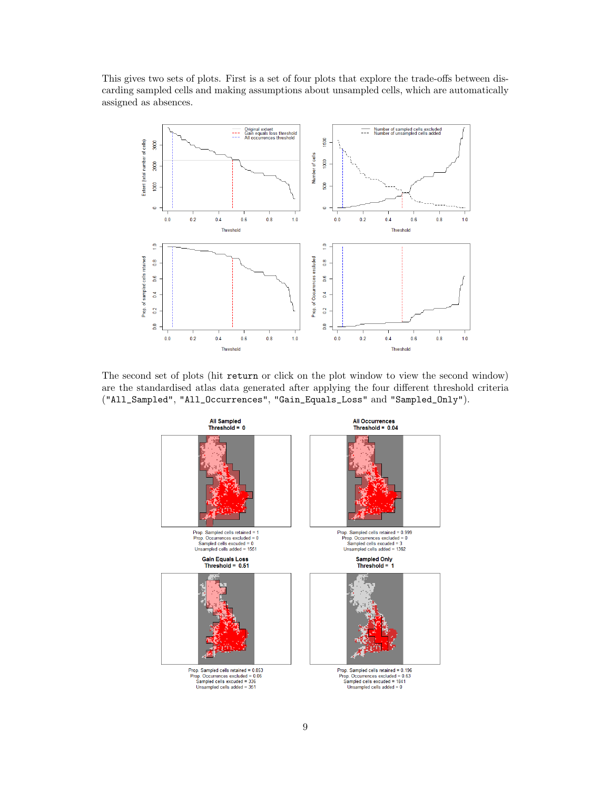This gives two sets of plots. First is a set of four plots that explore the trade-offs between discarding sampled cells and making assumptions about unsampled cells, which are automatically assigned as absences.



The second set of plots (hit return or click on the plot window to view the second window) are the standardised atlas data generated after applying the four different threshold criteria ("All\_Sampled", "All\_Occurrences", "Gain\_Equals\_Loss" and "Sampled\_Only").

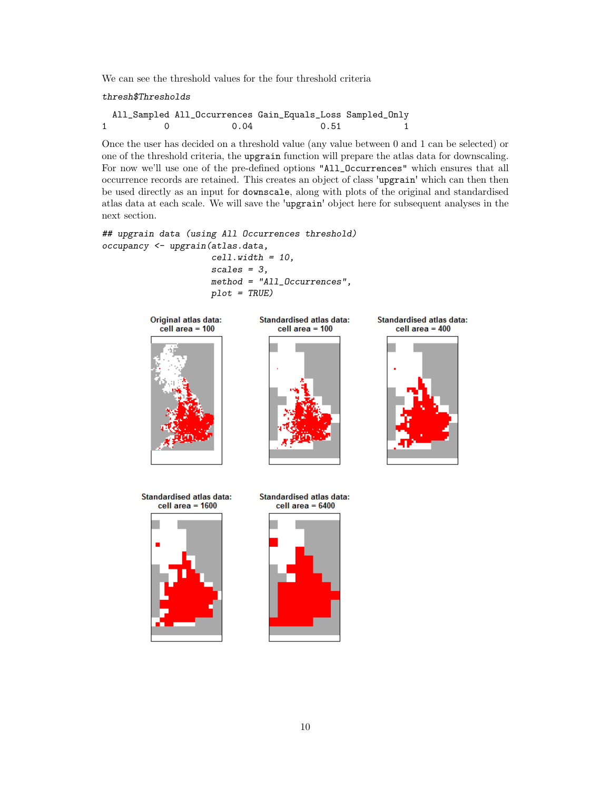We can see the threshold values for the four threshold criteria

thresh\$Thresholds

All\_Sampled All\_Occurrences Gain\_Equals\_Loss Sampled\_Only 1 0 0.04 0.51 1

Once the user has decided on a threshold value (any value between 0 and 1 can be selected) or one of the threshold criteria, the upgrain function will prepare the atlas data for downscaling. For now we'll use one of the pre-defined options "All\_Occurrences" which ensures that all occurrence records are retained. This creates an object of class 'upgrain' which can then then be used directly as an input for downscale, along with plots of the original and standardised atlas data at each scale. We will save the 'upgrain' object here for subsequent analyses in the next section.

```
## upgrain data (using All Occurrences threshold)
occupancy <- upgrain(atlas.data,
                     cell. width = 10,scales = 3,
                     method = "All_Occurrences",
```
 $plot = TRUE$ )



**Standardised atlas data:** cell area  $= 100$ 



**Standardised atlas data:** cell area  $= 400$ 



Standardised atlas data: cell area  $= 1600$ 



**Standardised atlas data:** cell area =  $6400$ 

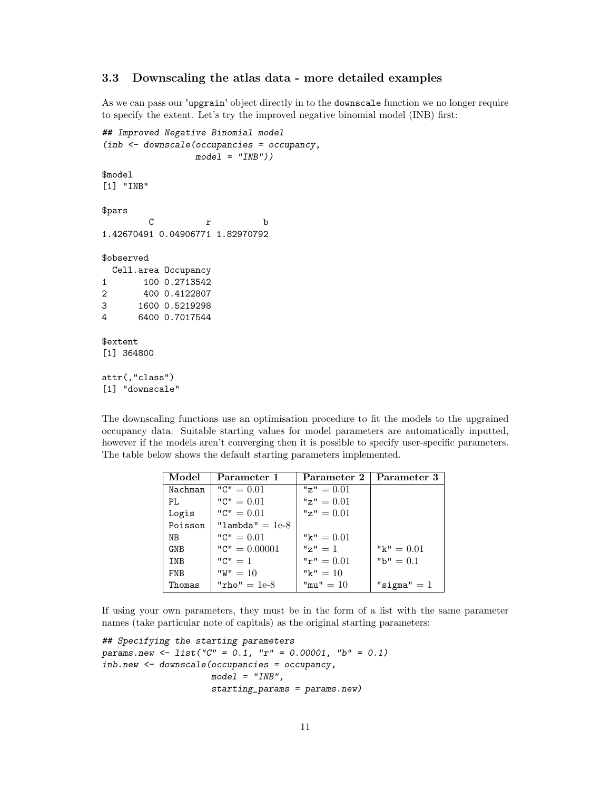#### <span id="page-10-0"></span>3.3 Downscaling the atlas data - more detailed examples

As we can pass our 'upgrain' object directly in to the downscale function we no longer require to specify the extent. Let's try the improved negative binomial model (INB) first:

```
## Improved Negative Binomial model
(inb <- downscale(occupancies = occupancy,
                model = "INB")$model
[1] "INB"
$pars
        C r b
1.42670491 0.04906771 1.82970792
$observed
 Cell.area Occupancy
1 100 0.2713542
2 400 0.4122807
3 1600 0.5219298
4 6400 0.7017544
$extent
[1] 364800
attr(,"class")
[1] "downscale"
```
The downscaling functions use an optimisation procedure to fit the models to the upgrained occupancy data. Suitable starting values for model parameters are automatically inputted, however if the models aren't converging then it is possible to specify user-specific parameters. The table below shows the default starting parameters implemented.

| Model      | Parameter 1       | Parameter 2    | Parameter 3    |
|------------|-------------------|----------------|----------------|
| Nachman    | " $C$ " = 0.01    | " $z$ " = 0.01 |                |
| PI.        | " $C$ " = 0.01    | $"z" = 0.01$   |                |
| Logis      | " $C$ " = 0.01    | $"z" = 0.01$   |                |
| Poisson    | "lambda" $= 1e-8$ |                |                |
| NB         | " $C$ " = 0.01    | " $k$ " = 0.01 |                |
| <b>GNB</b> | " $C$ " = 0.00001 | $"z" = 1$      | " $k$ " = 0.01 |
| <b>TNB</b> | $"C" = 1$         | $"r" = 0.01$   | "b" $= 0.1$    |
| <b>FNB</b> | $"W" = 10"$       | " $k$ " = 10   |                |
| Thomas     | "rho" $= 1e-8$    | $"mu" = 10"$   | "sigma" $= 1$  |

If using your own parameters, they must be in the form of a list with the same parameter names (take particular note of capitals) as the original starting parameters:

```
## Specifying the starting parameters
params.new <- list("C" = 0.1, "r" = 0.00001, "b" = 0.1)
inb.new <- downscale(occupancies = occupancy,
                    model = "INB".starting_params = params.new)
```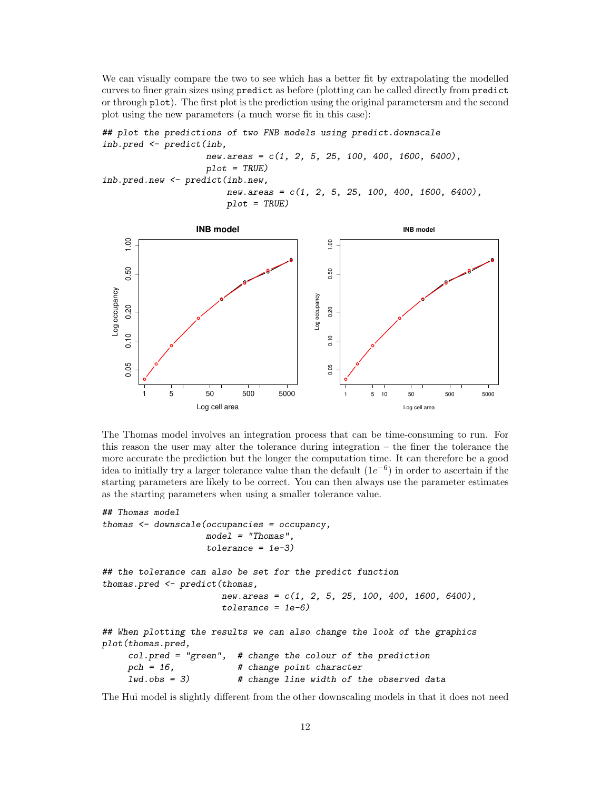We can visually compare the two to see which has a better fit by extrapolating the modelled curves to finer grain sizes using predict as before (plotting can be called directly from predict or through plot). The first plot is the prediction using the original parametersm and the second plot using the new parameters (a much worse fit in this case):





The Thomas model involves an integration process that can be time-consuming to run. For this reason the user may alter the tolerance during integration – the finer the tolerance the more accurate the prediction but the longer the computation time. It can therefore be a good idea to initially try a larger tolerance value than the default  $(1e^{-6})$  in order to ascertain if the starting parameters are likely to be correct. You can then always use the parameter estimates as the starting parameters when using a smaller tolerance value.

```
## Thomas model
```

```
thomas <- downscale(occupancies = occupancy,
                    model = "Thomas".tolerance = 1e-3)
```

```
## the tolerance can also be set for the predict function
thomas.pred <- predict(thomas,
                       new. areas = c(1, 2, 5, 25, 100, 400, 1600, 6400),tolerance = 1e-6
```
## When plotting the results we can also change the look of the graphics plot(thomas.pred, col.pred = "green", # change the colour of the prediction

```
pch = 16, # change point character
1wd.obs = 3 # change line width of the observed data
```
The Hui model is slightly different from the other downscaling models in that it does not need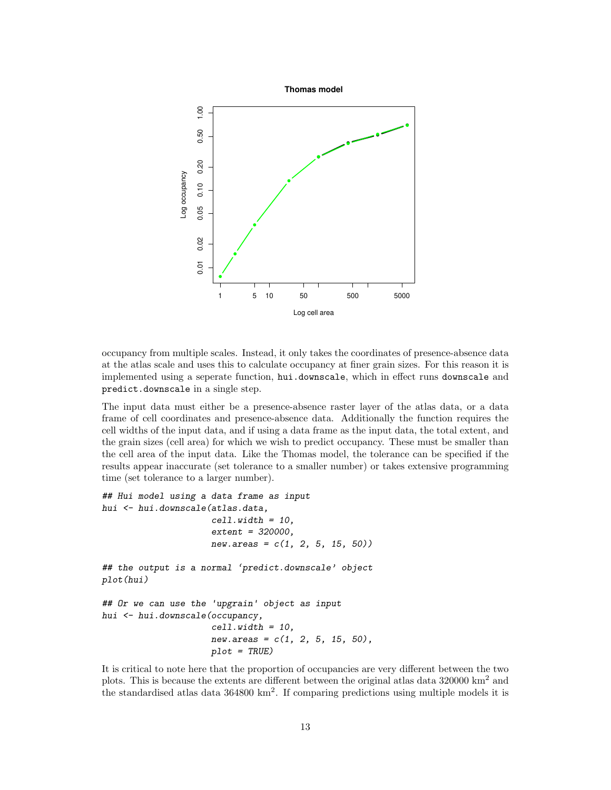

occupancy from multiple scales. Instead, it only takes the coordinates of presence-absence data at the atlas scale and uses this to calculate occupancy at finer grain sizes. For this reason it is implemented using a seperate function, hui.downscale, which in effect runs downscale and predict.downscale in a single step.

The input data must either be a presence-absence raster layer of the atlas data, or a data frame of cell coordinates and presence-absence data. Additionally the function requires the cell widths of the input data, and if using a data frame as the input data, the total extent, and the grain sizes (cell area) for which we wish to predict occupancy. These must be smaller than the cell area of the input data. Like the Thomas model, the tolerance can be specified if the results appear inaccurate (set tolerance to a smaller number) or takes extensive programming time (set tolerance to a larger number).

```
## Hui model using a data frame as input
hui <- hui.downscale(atlas.data,
                     cell. width = 10,extent = 320000,
                     new. areas = c(1, 2, 5, 15, 50)## the output is a normal 'predict.downscale' object
plot(hui)
## Or we can use the 'upgrain' object as input
hui <- hui.downscale(occupancy,
                     cell. width = 10,new.areas = c(1, 2, 5, 15, 50),
                     plot = TRUE)
```
It is critical to note here that the proportion of occupancies are very different between the two plots. This is because the extents are different between the original atlas data  $320000 \text{ km}^2$  and the standardised atlas data 364800 km<sup>2</sup>. If comparing predictions using multiple models it is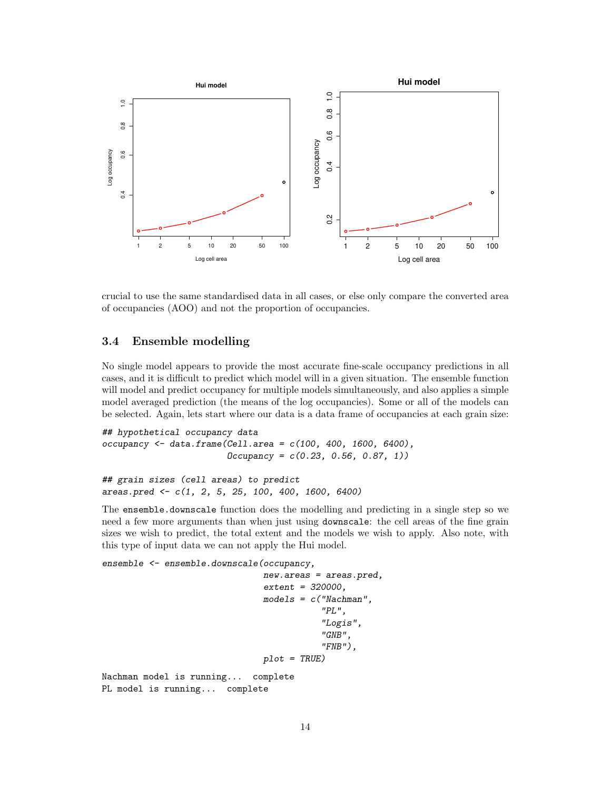

crucial to use the same standardised data in all cases, or else only compare the converted area of occupancies (AOO) and not the proportion of occupancies.

#### <span id="page-13-0"></span>3.4 Ensemble modelling

No single model appears to provide the most accurate fine-scale occupancy predictions in all cases, and it is difficult to predict which model will in a given situation. The ensemble function will model and predict occupancy for multiple models simultaneously, and also applies a simple model averaged prediction (the means of the log occupancies). Some or all of the models can be selected. Again, lets start where our data is a data frame of occupancies at each grain size:

```
## hypothetical occupancy data
occupancy <- data.frame(Cell.area = c(100, 400, 1600, 6400),
                       Dccupancy = c(0.23, 0.56, 0.87, 1)
```

```
## grain sizes (cell areas) to predict
areas.pred <- c(1, 2, 5, 25, 100, 400, 1600, 6400)
```
The ensemble.downscale function does the modelling and predicting in a single step so we need a few more arguments than when just using downscale: the cell areas of the fine grain sizes we wish to predict, the total extent and the models we wish to apply. Also note, with this type of input data we can not apply the Hui model.

ensemble <- ensemble.downscale(occupancy,

```
new.areas = areas.pred,
                                extent = 320000,
                                models = c('Nachman',
                                            "PL",
                                            "Logis",
                                            "GNB",
                                            "FNB"),
                                plot = TRUE)
Nachman model is running... complete
PL model is running... complete
```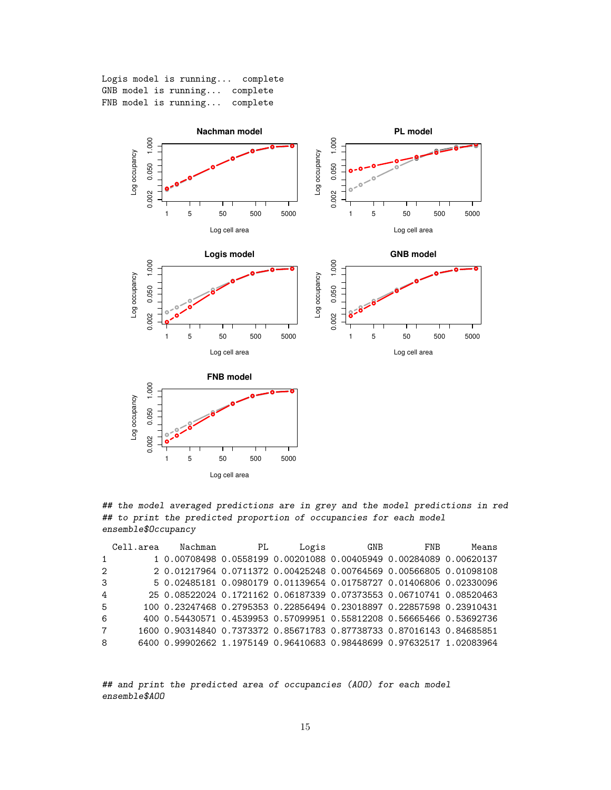Logis model is running... complete GNB model is running... complete FNB model is running... complete



Log cell area

## the model averaged predictions are in grey and the model predictions in red ## to print the predicted proportion of occupancies for each model ensemble\$Occupancy

|                | Cell.area | Nachman                                                               | PL | Logis | <b>GNB</b> | <b>FNB</b> | Means |
|----------------|-----------|-----------------------------------------------------------------------|----|-------|------------|------------|-------|
| 1              |           | 1 0.00708498 0.0558199 0.00201088 0.00405949 0.00284089 0.00620137    |    |       |            |            |       |
| $\overline{2}$ |           | 2 0.01217964 0.0711372 0.00425248 0.00764569 0.00566805 0.01098108    |    |       |            |            |       |
| 3              |           | 5 0.02485181 0.0980179 0.01139654 0.01758727 0.01406806 0.02330096    |    |       |            |            |       |
| 4              |           | 25 0.08522024 0.1721162 0.06187339 0.07373553 0.06710741 0.08520463   |    |       |            |            |       |
| 5              |           | 100 0.23247468 0.2795353 0.22856494 0.23018897 0.22857598 0.23910431  |    |       |            |            |       |
| 6              |           | 400 0.54430571 0.4539953 0.57099951 0.55812208 0.56665466 0.53692736  |    |       |            |            |       |
| $7^{\circ}$    |           | 1600 0.90314840 0.7373372 0.85671783 0.87738733 0.87016143 0.84685851 |    |       |            |            |       |
| 8              |           | 6400 0.99902662 1.1975149 0.96410683 0.98448699 0.97632517 1.02083964 |    |       |            |            |       |

## and print the predicted area of occupancies (AOO) for each model ensemble\$AOO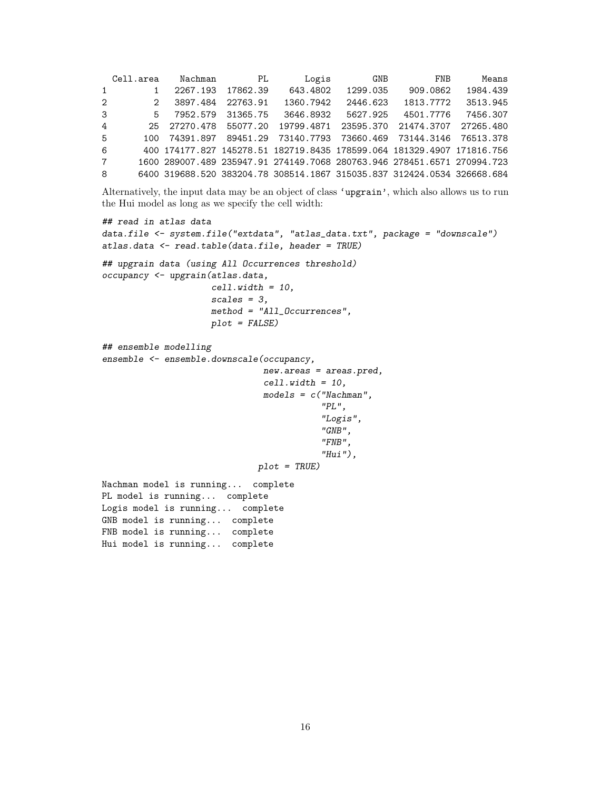Cell.area Nachman PL Logis GNB FNB Means 1 1 2267.193 17862.39 643.4802 1299.035 909.0862 1984.439 2 2 3897.484 22763.91 1360.7942 2446.623 1813.7772 3513.945 3 5 7952.579 31365.75 3646.8932 5627.925 4501.7776 7456.307 4 25 27270.478 55077.20 19799.4871 23595.370 21474.3707 27265.480 5 100 74391.897 89451.29 73140.7793 73660.469 73144.3146 76513.378 6 400 174177.827 145278.51 182719.8435 178599.064 181329.4907 171816.756 7 1600 289007.489 235947.91 274149.7068 280763.946 278451.6571 270994.723 8 6400 319688.520 383204.78 308514.1867 315035.837 312424.0534 326668.684

Alternatively, the input data may be an object of class 'upgrain', which also allows us to run the Hui model as long as we specify the cell width:

```
## read in atlas data
data.file <- system.file("extdata", "atlas_data.txt", package = "downscale")
atlas.data <- read.table(data.file, header = TRUE)
## upgrain data (using All Occurrences threshold)
occupancy <- upgrain(atlas.data,
                     cell. width = 10,scales = 3,
                     method = "All_Occurrences",
                     plot = FALSE)
## ensemble modelling
ensemble <- ensemble.downscale(occupancy,
                               new.areas = areas.pred,
                               cell.width = 10,
                               models = c("Nachman",
                                           "PL",
                                           "Logis",
                                           "GNB",
                                           "FNB",
                                           "Hui"),
                              plot = TRUE)
Nachman model is running... complete
PL model is running... complete
Logis model is running... complete
GNB model is running... complete
FNB model is running... complete
Hui model is running... complete
```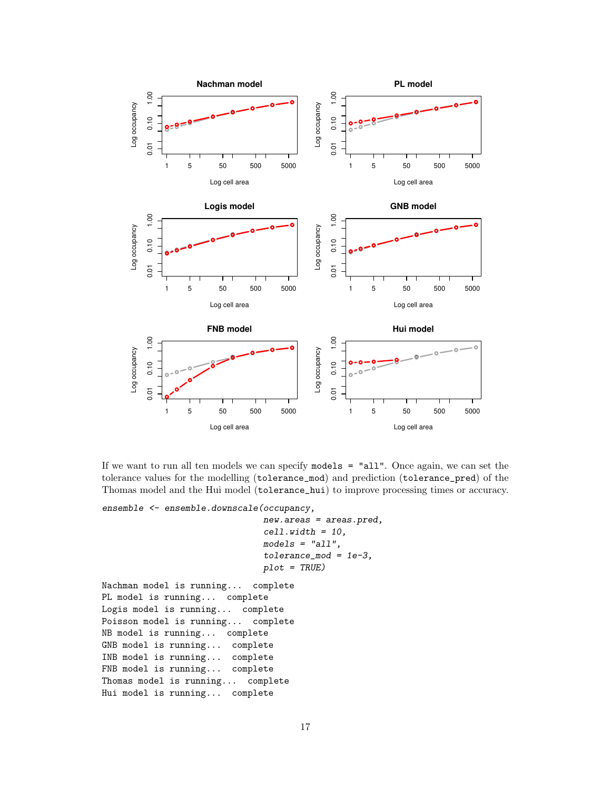

If we want to run all ten models we can specify models = "all". Once again, we can set the tolerance values for the modelling (tolerance\_mod) and prediction (tolerance\_pred) of the Thomas model and the Hui model (tolerance\_hui) to improve processing times or accuracy.

ensemble <- ensemble.downscale(occupancy,

```
new.areas = areas.pred,
cell.width = 10,
models = "all",tolerance_mod = 1e-3,
plot = TRUE)
```

```
Nachman model is running... complete
PL model is running... complete
Logis model is running... complete
Poisson model is running... complete
NB model is running... complete
GNB model is running... complete
INB model is running... complete
FNB model is running... complete
Thomas model is running... complete
Hui model is running... complete
```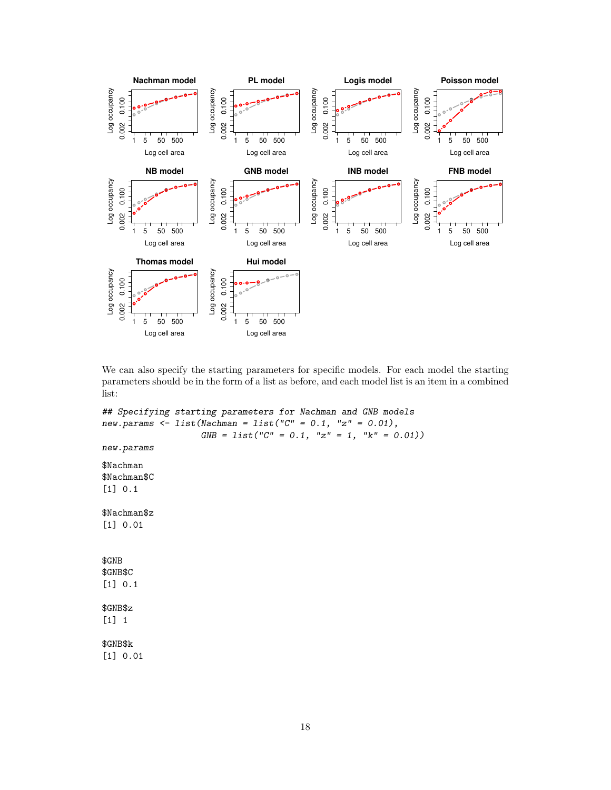

We can also specify the starting parameters for specific models. For each model the starting parameters should be in the form of a list as before, and each model list is an item in a combined list:

```
## Specifying starting parameters for Nachman and GNB models
new.params <- list(Nachman = list("C'' = 0.1, "z" = 0.01),
                   GNB = list("C" = 0.1, "z" = 1, "k" = 0.01))new.params
$Nachman
$Nachman$C
[1] 0.1
$Nachman$z
[1] 0.01
$GNB
$GNB$C
[1] 0.1
$GNB$z
[1] 1
$GNB$k
[1] 0.01
```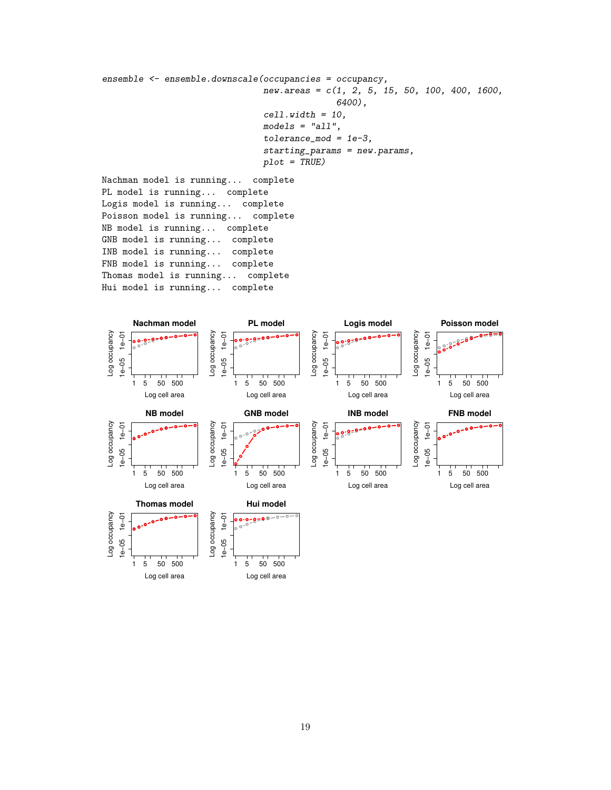```
ensemble <- ensemble.downscale(occupancies = occupancy,
                               new.areas = c(1, 2, 5, 15, 50, 100, 400, 1600,6400),
                               cell.width = 10,
                               models = "all",tolerance_mod = 1e-3,
                               starting_params = new.params,
                               plot = TRUE)
Nachman model is running... complete
```
PL model is running... complete Logis model is running... complete Poisson model is running... complete NB model is running... complete GNB model is running... complete INB model is running... complete FNB model is running... complete Thomas model is running... complete Hui model is running... complete



Log cell area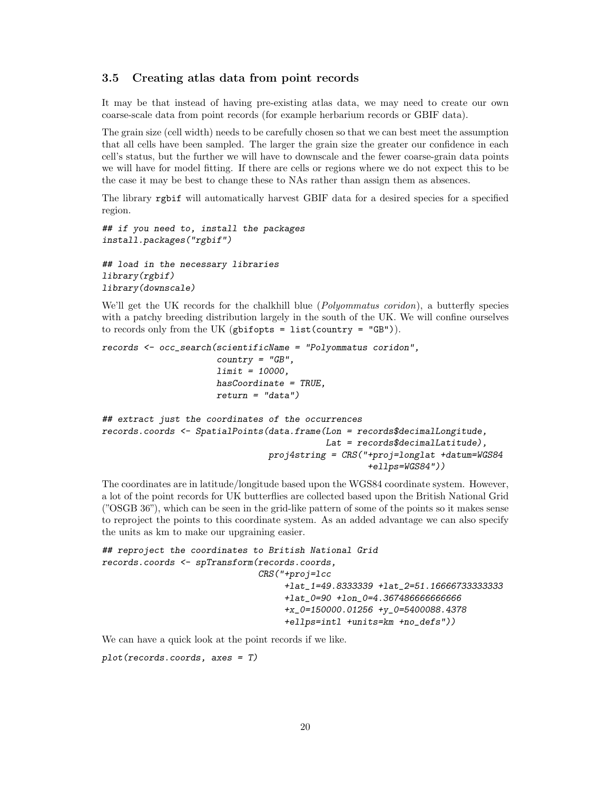#### <span id="page-19-0"></span>3.5 Creating atlas data from point records

It may be that instead of having pre-existing atlas data, we may need to create our own coarse-scale data from point records (for example herbarium records or GBIF data).

The grain size (cell width) needs to be carefully chosen so that we can best meet the assumption that all cells have been sampled. The larger the grain size the greater our confidence in each cell's status, but the further we will have to downscale and the fewer coarse-grain data points we will have for model fitting. If there are cells or regions where we do not expect this to be the case it may be best to change these to NAs rather than assign them as absences.

The library rgbif will automatically harvest GBIF data for a desired species for a specified region.

```
## if you need to, install the packages
install.packages("rgbif")
## load in the necessary libraries
library(rgbif)
```
library(downscale)

We'll get the UK records for the chalkhill blue (*Polyommatus coridon*), a butterfly species with a patchy breeding distribution largely in the south of the UK. We will confine ourselves to records only from the UK (gbifopts =  $list$  (country = "GB")).

```
records <- occ_search(scientificName = "Polyommatus coridon",
                      countery = "GB",limit = 10000.
                      hasCoordinate = TRUE,
                      return = "data")## extract just the coordinates of the occurrences
records.coords <- SpatialPoints(data.frame(Lon = records$decimalLongitude,
                                           Lat = records$decimalLatitude),
                                proj4string = CRS("+proj=longlat +datum=WGS84
                                                   +ellps=WGS84"))
```
The coordinates are in latitude/longitude based upon the WGS84 coordinate system. However, a lot of the point records for UK butterflies are collected based upon the British National Grid ("OSGB 36"), which can be seen in the grid-like pattern of some of the points so it makes sense to reproject the points to this coordinate system. As an added advantage we can also specify the units as km to make our upgraining easier.

```
## reproject the coordinates to British National Grid
records.coords <- spTransform(records.coords,
                              CRS("+proj=lcc
                                   +lat_1=49.8333339 +lat_2=51.16666733333333
                                   +lat_0=90 +lon_0=4.367486666666666
                                   +x_0=150000.01256 +y_0=5400088.4378
                                   +ellps=intl +units=km +no_defs"))
```
We can have a quick look at the point records if we like.

plot(records.coords, axes = T)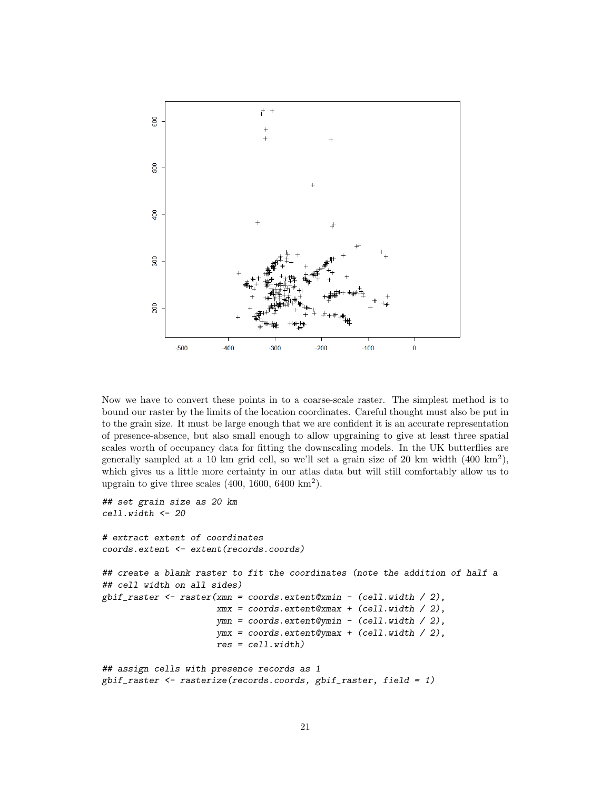

Now we have to convert these points in to a coarse-scale raster. The simplest method is to bound our raster by the limits of the location coordinates. Careful thought must also be put in to the grain size. It must be large enough that we are confident it is an accurate representation of presence-absence, but also small enough to allow upgraining to give at least three spatial scales worth of occupancy data for fitting the downscaling models. In the UK butterflies are generally sampled at a 10 km grid cell, so we'll set a grain size of 20 km width (400 km<sup>2</sup> ), which gives us a little more certainty in our atlas data but will still comfortably allow us to upgrain to give three scales  $(400, 1600, 6400 \text{ km}^2)$ .

```
## set grain size as 20 km
cell.width <- 20
# extract extent of coordinates
coords.extent <- extent(records.coords)
## create a blank raster to fit the coordinates (note the addition of half a
## cell width on all sides)
gbif_raster <- raster(xmn = coords.extent@xmin - (cell.width / 2),
                      xmx = coords.extent@xmax + (cell.width / 2),
                      ymn = coords.extent@ymin - (cell.width / 2),
                      ymx = coords.extent@ymax + (cell.width / 2),
                      res = cell.width)
## assign cells with presence records as 1
```

```
gbif_raster <- rasterize(records.coords, gbif_raster, field = 1)
```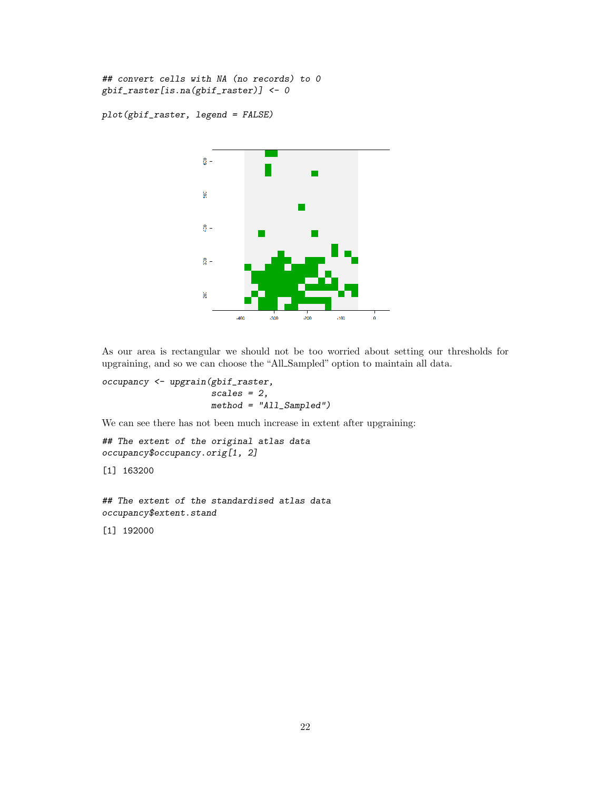## convert cells with NA (no records) to 0 gbif\_raster[is.na(gbif\_raster)] <- 0

plot(gbif\_raster, legend = FALSE)



As our area is rectangular we should not be too worried about setting our thresholds for upgraining, and so we can choose the "All Sampled" option to maintain all data.

```
occupancy <- upgrain(gbif_raster,
                     scales = 2,
                     method = "All_Sampled")
```
We can see there has not been much increase in extent after upgraining:

```
## The extent of the original atlas data
occupancy$occupancy.orig[1, 2]
```
[1] 163200

## The extent of the standardised atlas data occupancy\$extent.stand

[1] 192000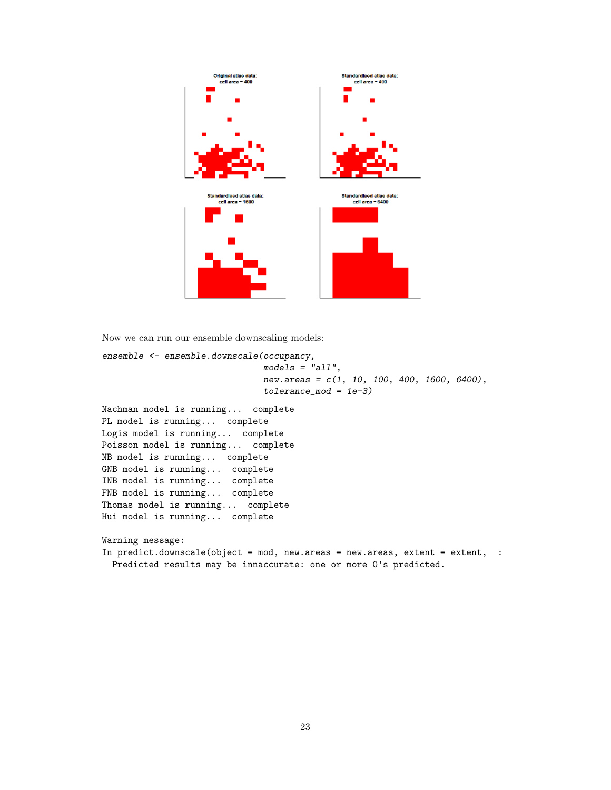

Now we can run our ensemble downscaling models:

```
ensemble <- ensemble.downscale(occupancy,
                              models = "all",new.areas = c(1, 10, 100, 400, 1600, 6400),
                              tolerance_model = 1e-3)Nachman model is running... complete
PL model is running... complete
Logis model is running... complete
Poisson model is running... complete
NB model is running... complete
GNB model is running... complete
INB model is running... complete
FNB model is running... complete
Thomas model is running... complete
Hui model is running... complete
Warning message:
In predict.downscale(object = mod, new.areas = new.areas, extent = extent, :
 Predicted results may be innaccurate: one or more 0's predicted.
```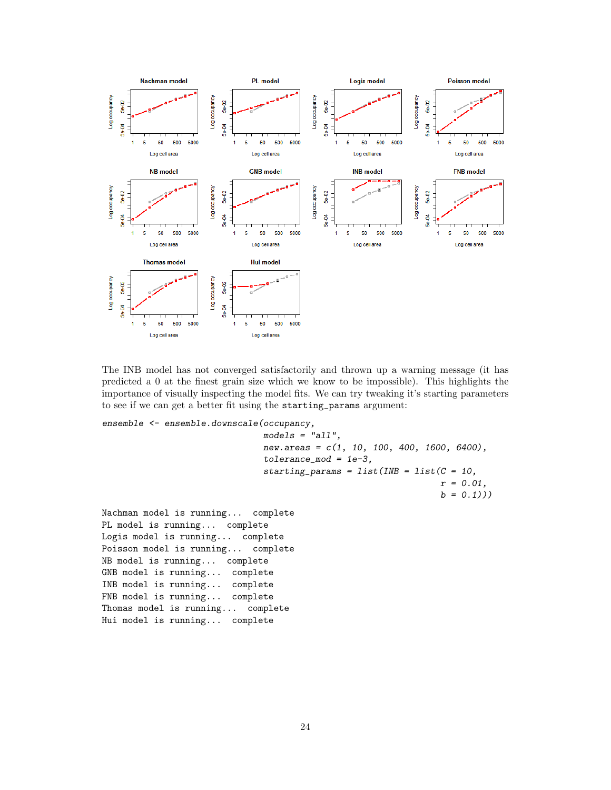

The INB model has not converged satisfactorily and thrown up a warning message (it has predicted a 0 at the finest grain size which we know to be impossible). This highlights the importance of visually inspecting the model fits. We can try tweaking it's starting parameters to see if we can get a better fit using the starting\_params argument:

ensemble <- ensemble.downscale(occupancy,

```
models = "all",new.areas = c(1, 10, 100, 400, 1600, 6400),
                              tolerance_mod = 1e-3,
                              starting_params = list(INB = list(C = 10,r = 0.01,
                                                                b = 0.1))
Nachman model is running... complete
PL model is running... complete
Logis model is running... complete
Poisson model is running... complete
NB model is running... complete
GNB model is running... complete
INB model is running... complete
FNB model is running... complete
Thomas model is running... complete
Hui model is running... complete
```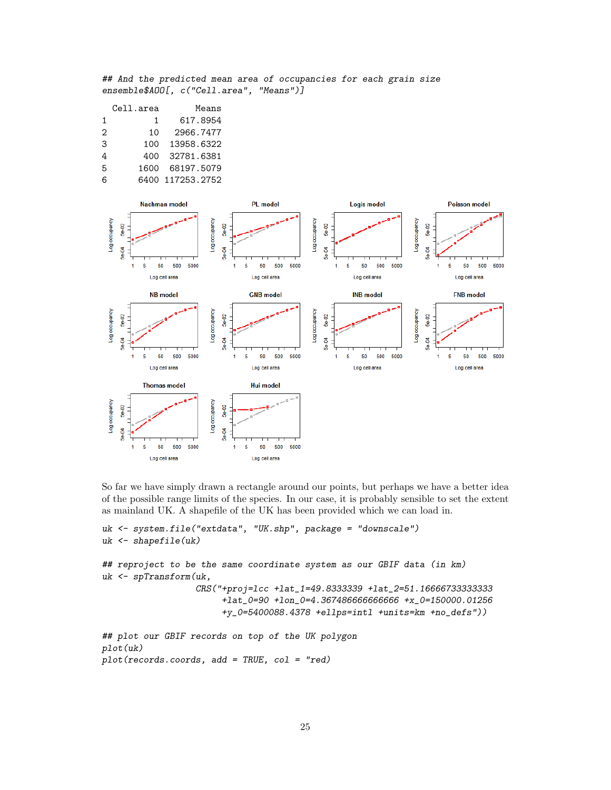## And the predicted mean area of occupancies for each grain size ensemble\$AOO[, c("Cell.area", "Means")]

|   | Cell.area | Means            |
|---|-----------|------------------|
| 1 | 1         | 617.8954         |
| 2 | 10        | 2966.7477        |
| 3 | 100       | 13958.6322       |
| 4 | 400       | 32781.6381       |
| 5 | 1600      | 68197.5079       |
| 6 |           | 6400 117253.2752 |



So far we have simply drawn a rectangle around our points, but perhaps we have a better idea of the possible range limits of the species. In our case, it is probably sensible to set the extent as mainland UK. A shapefile of the UK has been provided which we can load in.

```
uk <- system.file("extdata", "UK.shp", package = "downscale")
uk <- shapefile(uk)
## reproject to be the same coordinate system as our GBIF data (in km)
uk <- spTransform(uk,
                  CRS("+proj=lcc +lat_1=49.8333339 +lat_2=51.16666733333333
                       +lat_0=90 +lon_0=4.367486666666666 +x_0=150000.01256
                       +y_0=5400088.4378 +ellps=intl +units=km +no_defs"))
## plot our GBIF records on top of the UK polygon
plot(uk)
plot(records.coords, add = TRUE, col = "red)
```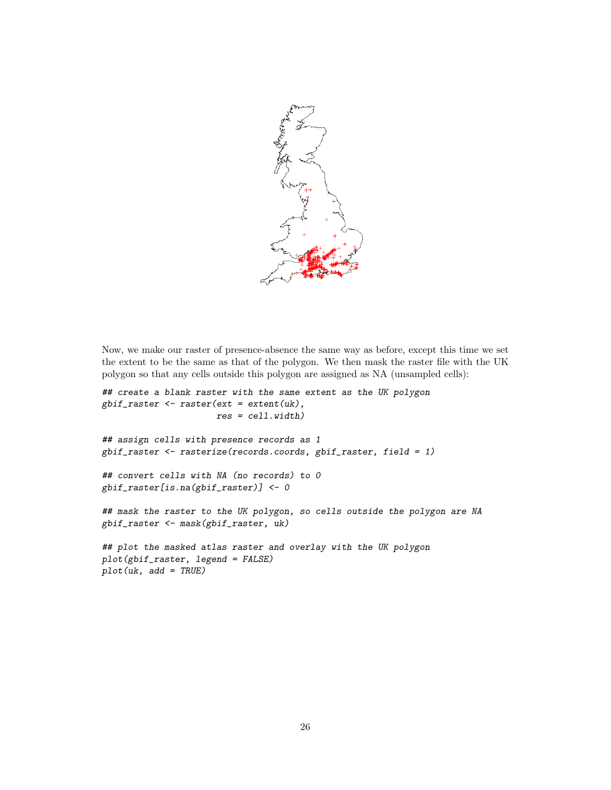

Now, we make our raster of presence-absence the same way as before, except this time we set the extent to be the same as that of the polygon. We then mask the raster file with the UK polygon so that any cells outside this polygon are assigned as NA (unsampled cells):

```
## create a blank raster with the same extent as the UK polygon
gbif_raster <- raster(ext = extent(uk),
                      res = cell.width)
## assign cells with presence records as 1
gbif_raster <- rasterize(records.coords, gbif_raster, field = 1)
## convert cells with NA (no records) to 0
gbif_raster[is.na(gbif_raster)] <- 0
## mask the raster to the UK polygon, so cells outside the polygon are NA
gbif_raster <- mask(gbif_raster, uk)
## plot the masked atlas raster and overlay with the UK polygon
plot(gbif_raster, legend = FALSE)
plot(uk, add = TRUE)
```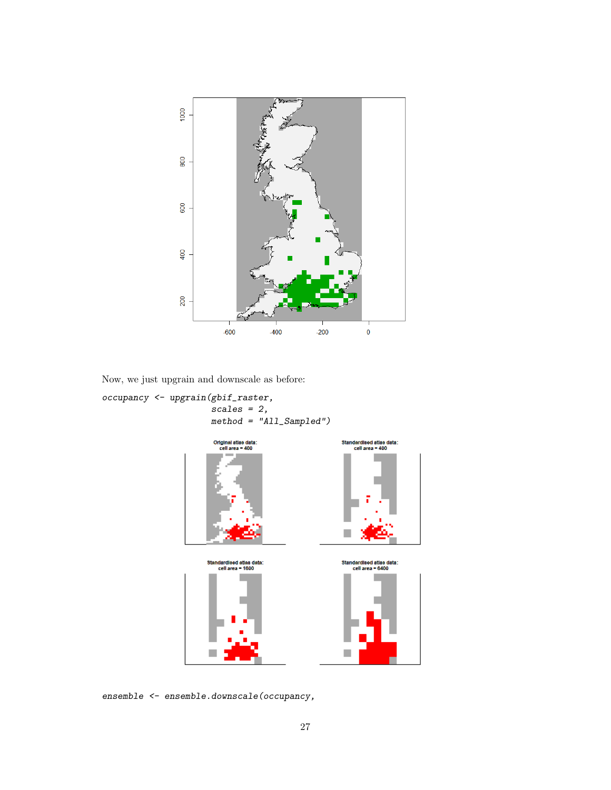

Now, we just upgrain and downscale as before:

occupancy <- upgrain(gbif\_raster, scales = 2, method = "All\_Sampled")



ensemble <- ensemble.downscale(occupancy,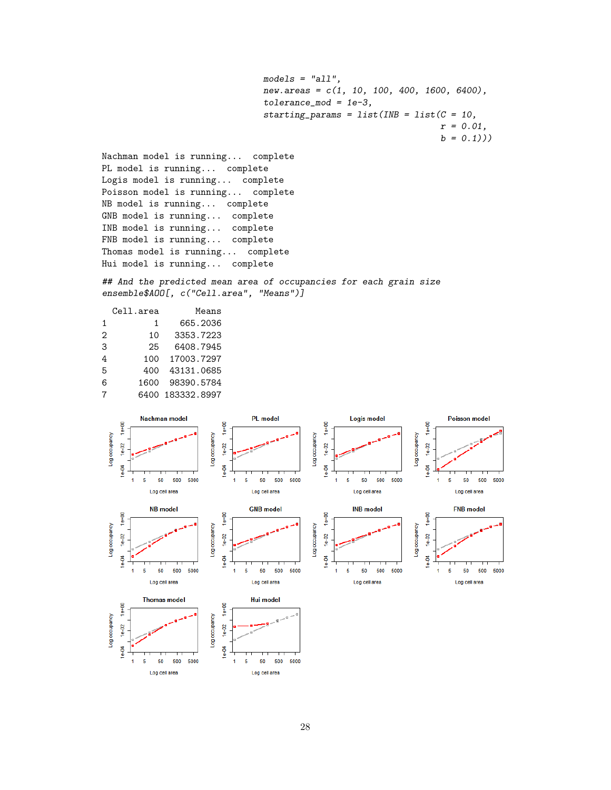```
models = "all".new.areas = c(1, 10, 100, 400, 1600, 6400),
tolerance_mod = 1e-3,
starting_params = list(INB = list(C = 10,r = 0.01,
                                  b = 0.1))
```
Nachman model is running... complete PL model is running... complete Logis model is running... complete Poisson model is running... complete NB model is running... complete GNB model is running... complete INB model is running... complete FNB model is running... complete Thomas model is running... complete Hui model is running... complete

## And the predicted mean area of occupancies for each grain size ensemble\$AOO[, c("Cell.area", "Means")]

|                   | Cell.area | Means       |
|-------------------|-----------|-------------|
| 1                 | 1         | 665.2036    |
| $\mathcal{D}_{1}$ | 10        | 3353.7223   |
| 3                 | 25        | 6408.7945   |
| 4                 | 100       | 17003.7297  |
| 5                 | 400       | 43131.0685  |
| 6                 | 1600      | 98390.5784  |
| 7                 | 6400      | 183332.8997 |